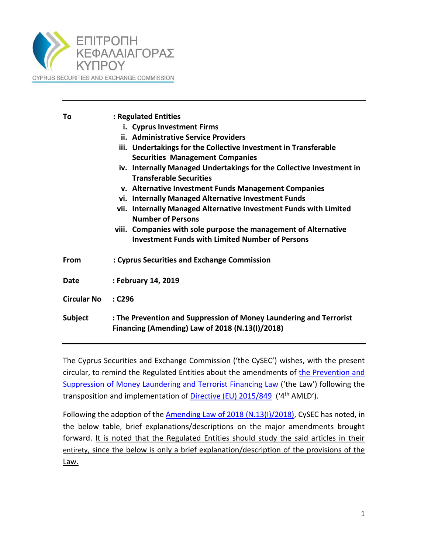

| То                                                                                                                                      | : Regulated Entities                                                                                   |  |  |
|-----------------------------------------------------------------------------------------------------------------------------------------|--------------------------------------------------------------------------------------------------------|--|--|
|                                                                                                                                         | i. Cyprus Investment Firms                                                                             |  |  |
|                                                                                                                                         | ii. Administrative Service Providers                                                                   |  |  |
|                                                                                                                                         | iii. Undertakings for the Collective Investment in Transferable                                        |  |  |
|                                                                                                                                         | <b>Securities Management Companies</b>                                                                 |  |  |
|                                                                                                                                         | iv. Internally Managed Undertakings for the Collective Investment in<br><b>Transferable Securities</b> |  |  |
|                                                                                                                                         | v. Alternative Investment Funds Management Companies                                                   |  |  |
|                                                                                                                                         | vi. Internally Managed Alternative Investment Funds                                                    |  |  |
|                                                                                                                                         | vii. Internally Managed Alternative Investment Funds with Limited<br><b>Number of Persons</b>          |  |  |
|                                                                                                                                         | viii. Companies with sole purpose the management of Alternative                                        |  |  |
|                                                                                                                                         | <b>Investment Funds with Limited Number of Persons</b>                                                 |  |  |
| <b>From</b>                                                                                                                             | : Cyprus Securities and Exchange Commission                                                            |  |  |
| Date                                                                                                                                    | : February 14, 2019                                                                                    |  |  |
| <b>Circular No</b>                                                                                                                      | $:$ C296                                                                                               |  |  |
| : The Prevention and Suppression of Money Laundering and Terrorist<br><b>Subject</b><br>Financing (Amending) Law of 2018 (N.13(I)/2018) |                                                                                                        |  |  |
|                                                                                                                                         |                                                                                                        |  |  |

The Cyprus Securities and Exchange Commission ('the CySEC') wishes, with the present circular, to remind the Regulated Entities about the amendments of [the Prevention and](https://www.cysec.gov.cy/CMSPages/GetFile.aspx?guid=94659b77-3789-4866-863a-2d23e4a58ebd)  [Suppression of Money Laundering and](https://www.cysec.gov.cy/CMSPages/GetFile.aspx?guid=94659b77-3789-4866-863a-2d23e4a58ebd) Terrorist Financing Law ('the Law') following the transposition and implementation of [Directive \(EU\) 2015/849](https://www.cysec.gov.cy/CMSPages/GetFile.aspx?guid=1fc058bf-b634-443e-92c1-aa4bb914f0b2) ('4<sup>th</sup> AMLD').

Following the adoption of the **Amending Law of 2018 (N.13(I)/2018)**, CySEC has noted, in the below table, brief explanations/descriptions on the major amendments brought forward. It is noted that the Regulated Entities should study the said articles in their entirety, since the below is only a brief explanation/description of the provisions of the Law.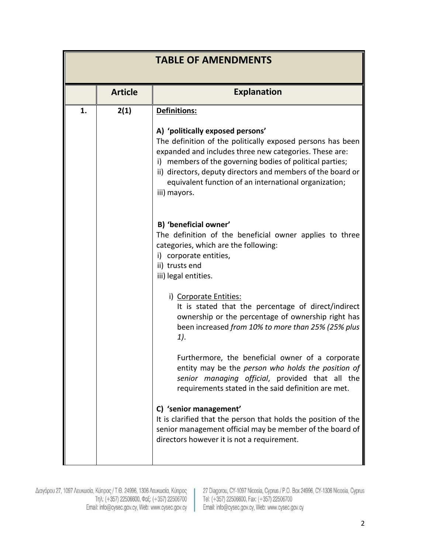|    | <b>TABLE OF AMENDMENTS</b> |                                                                                                                                                                                                                                                                                                                                                                              |  |
|----|----------------------------|------------------------------------------------------------------------------------------------------------------------------------------------------------------------------------------------------------------------------------------------------------------------------------------------------------------------------------------------------------------------------|--|
|    | <b>Article</b>             | <b>Explanation</b>                                                                                                                                                                                                                                                                                                                                                           |  |
| 1. | 2(1)                       | Definitions:<br>A) 'politically exposed persons'<br>The definition of the politically exposed persons has been<br>expanded and includes three new categories. These are:<br>i) members of the governing bodies of political parties;<br>ii) directors, deputy directors and members of the board or<br>equivalent function of an international organization;<br>iii) mayors. |  |
|    |                            | B) 'beneficial owner'<br>The definition of the beneficial owner applies to three<br>categories, which are the following:<br>i) corporate entities,<br>ii) trusts end<br>iii) legal entities.                                                                                                                                                                                 |  |
|    |                            | i) Corporate Entities:<br>It is stated that the percentage of direct/indirect<br>ownership or the percentage of ownership right has<br>been increased from 10% to more than 25% (25% plus<br>1).                                                                                                                                                                             |  |
|    |                            | Furthermore, the beneficial owner of a corporate<br>entity may be the <i>person who holds the position of</i><br>senior managing official, provided that all the<br>requirements stated in the said definition are met.                                                                                                                                                      |  |
|    |                            | C) 'senior management'<br>It is clarified that the person that holds the position of the<br>senior management official may be member of the board of<br>directors however it is not a requirement.                                                                                                                                                                           |  |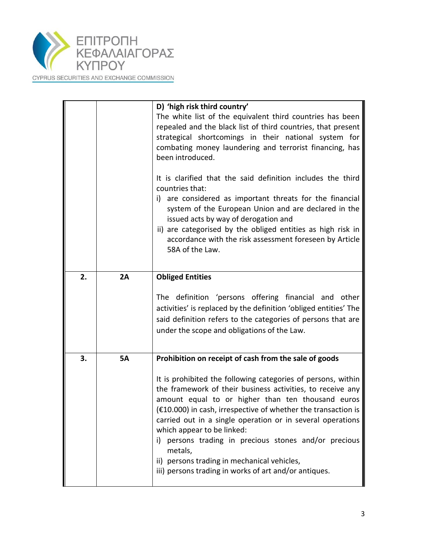

| CYPRUS SECURITIES AND EXCHANGE COMMISSION |  |
|-------------------------------------------|--|
|-------------------------------------------|--|

|    |           | D) 'high risk third country'<br>The white list of the equivalent third countries has been<br>repealed and the black list of third countries, that present<br>strategical shortcomings in their national system for<br>combating money laundering and terrorist financing, has<br>been introduced.                                                                                                                     |
|----|-----------|-----------------------------------------------------------------------------------------------------------------------------------------------------------------------------------------------------------------------------------------------------------------------------------------------------------------------------------------------------------------------------------------------------------------------|
|    |           | It is clarified that the said definition includes the third<br>countries that:<br>i) are considered as important threats for the financial<br>system of the European Union and are declared in the<br>issued acts by way of derogation and<br>ii) are categorised by the obliged entities as high risk in<br>accordance with the risk assessment foreseen by Article<br>58A of the Law.                               |
| 2. | 2A        | <b>Obliged Entities</b>                                                                                                                                                                                                                                                                                                                                                                                               |
|    |           | The definition 'persons offering financial and other<br>activities' is replaced by the definition 'obliged entities' The<br>said definition refers to the categories of persons that are<br>under the scope and obligations of the Law.                                                                                                                                                                               |
| 3. | <b>5A</b> | Prohibition on receipt of cash from the sale of goods                                                                                                                                                                                                                                                                                                                                                                 |
|    |           | It is prohibited the following categories of persons, within<br>the framework of their business activities, to receive any<br>amount equal to or higher than ten thousand euros<br>$(£10.000)$ in cash, irrespective of whether the transaction is<br>carried out in a single operation or in several operations<br>which appear to be linked:<br>persons trading in precious stones and/or precious<br>i)<br>metals, |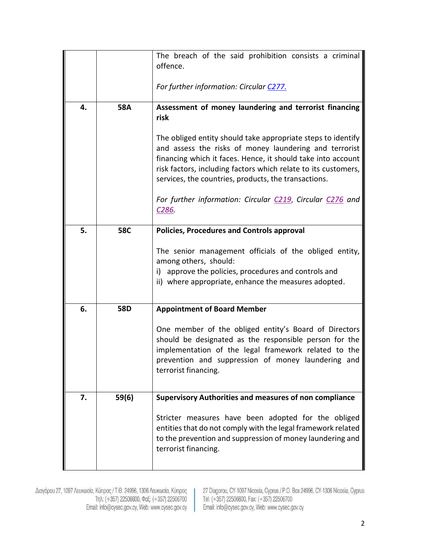|    |            | The breach of the said prohibition consists a criminal<br>offence.<br>For further information: Circular C277.                                                                                                                                                                                                                                                                                                                                                       |
|----|------------|---------------------------------------------------------------------------------------------------------------------------------------------------------------------------------------------------------------------------------------------------------------------------------------------------------------------------------------------------------------------------------------------------------------------------------------------------------------------|
| 4. | <b>58A</b> | Assessment of money laundering and terrorist financing<br>risk<br>The obliged entity should take appropriate steps to identify<br>and assess the risks of money laundering and terrorist<br>financing which it faces. Hence, it should take into account<br>risk factors, including factors which relate to its customers,<br>services, the countries, products, the transactions.<br>For further information: Circular C219, Circular C276 and<br>C <sub>286</sub> |
| 5. | <b>58C</b> | <b>Policies, Procedures and Controls approval</b><br>The senior management officials of the obliged entity,<br>among others, should:<br>i) approve the policies, procedures and controls and<br>ii) where appropriate, enhance the measures adopted.                                                                                                                                                                                                                |
| 6. | 58D        | <b>Appointment of Board Member</b><br>One member of the obliged entity's Board of Directors<br>should be designated as the responsible person for the<br>implementation of the legal framework related to the<br>prevention and suppression of money laundering and<br>terrorist financing.                                                                                                                                                                         |
| 7. | 59(6)      | <b>Supervisory Authorities and measures of non compliance</b><br>Stricter measures have been adopted for the obliged<br>entities that do not comply with the legal framework related<br>to the prevention and suppression of money laundering and<br>terrorist financing.                                                                                                                                                                                           |

Διαγόρου 27, 1097 Λευκωσία, Κύπρος / Τ.Θ. 24996, 1306 Λευκωσία, Κύπρος<br>Τηλ: (+357) 22506600, Φαξ: (+357) 22506700<br>Email: info@cysec.gov.cy, Web: www.cysec.gov.cy

27 Diagorou, CY-1097 Nicosia, Cyprus / P.O. Box 24996, CY-1306 Nicosia, Cyprus<br>Tel: (+357) 22506600, Fax: (+357) 22506700<br>Email: info@cysec.gov.cy, Web: www.cysec.gov.cy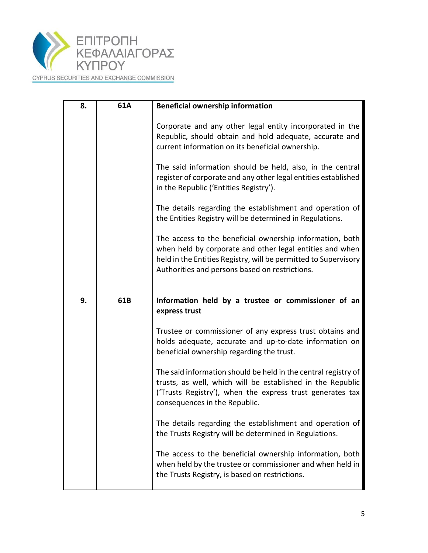

CYPRUS SECURITIES AND EXCHANGE COMMISSION

| 8. | 61A | <b>Beneficial ownership information</b>                                                                                                                                                                                                   |
|----|-----|-------------------------------------------------------------------------------------------------------------------------------------------------------------------------------------------------------------------------------------------|
|    |     | Corporate and any other legal entity incorporated in the<br>Republic, should obtain and hold adequate, accurate and<br>current information on its beneficial ownership.                                                                   |
|    |     | The said information should be held, also, in the central<br>register of corporate and any other legal entities established<br>in the Republic ('Entities Registry').                                                                     |
|    |     | The details regarding the establishment and operation of<br>the Entities Registry will be determined in Regulations.                                                                                                                      |
|    |     | The access to the beneficial ownership information, both<br>when held by corporate and other legal entities and when<br>held in the Entities Registry, will be permitted to Supervisory<br>Authorities and persons based on restrictions. |
|    |     |                                                                                                                                                                                                                                           |
| 9. | 61B | Information held by a trustee or commissioner of an<br>express trust                                                                                                                                                                      |
|    |     | Trustee or commissioner of any express trust obtains and<br>holds adequate, accurate and up-to-date information on<br>beneficial ownership regarding the trust.                                                                           |
|    |     | The said information should be held in the central registry of<br>trusts, as well, which will be established in the Republic<br>('Trusts Registry'), when the express trust generates tax<br>consequences in the Republic.                |
|    |     | The details regarding the establishment and operation of<br>the Trusts Registry will be determined in Regulations.                                                                                                                        |
|    |     | The access to the beneficial ownership information, both<br>when held by the trustee or commissioner and when held in<br>the Trusts Registry, is based on restrictions.                                                                   |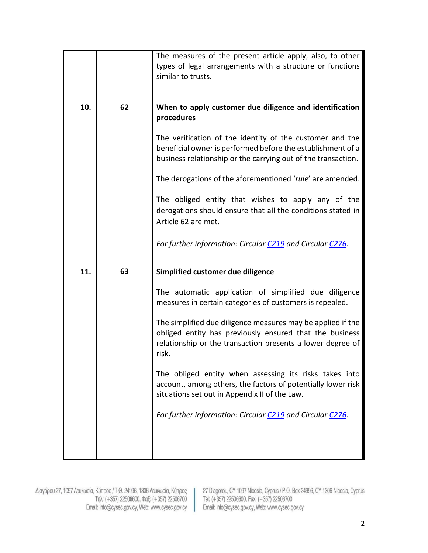|     |    | The measures of the present article apply, also, to other<br>types of legal arrangements with a structure or functions<br>similar to trusts.                                                                                                                                                                                                                                                                                                                                                                                                                                                    |
|-----|----|-------------------------------------------------------------------------------------------------------------------------------------------------------------------------------------------------------------------------------------------------------------------------------------------------------------------------------------------------------------------------------------------------------------------------------------------------------------------------------------------------------------------------------------------------------------------------------------------------|
| 10. | 62 | When to apply customer due diligence and identification<br>procedures<br>The verification of the identity of the customer and the<br>beneficial owner is performed before the establishment of a<br>business relationship or the carrying out of the transaction.<br>The derogations of the aforementioned 'rule' are amended.<br>The obliged entity that wishes to apply any of the<br>derogations should ensure that all the conditions stated in<br>Article 62 are met.<br>For further information: Circular C219 and Circular C276.                                                         |
| 11. | 63 | Simplified customer due diligence<br>The automatic application of simplified due diligence<br>measures in certain categories of customers is repealed.<br>The simplified due diligence measures may be applied if the<br>obliged entity has previously ensured that the business<br>relationship or the transaction presents a lower degree of<br>risk.<br>The obliged entity when assessing its risks takes into<br>account, among others, the factors of potentially lower risk<br>situations set out in Appendix II of the Law.<br>For further information: Circular C219 and Circular C276. |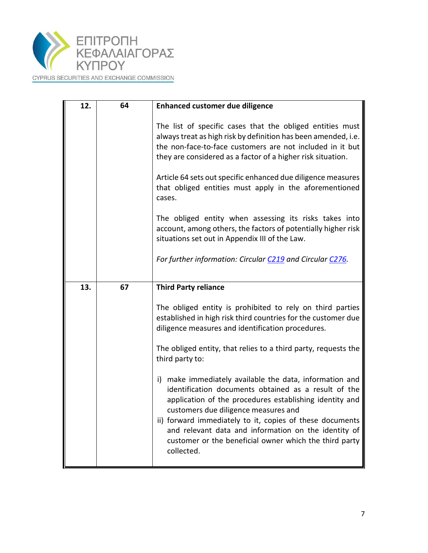

CYPRUS SECURITIES AND EXCHANGE COMMISSION

| 12. | 64 | <b>Enhanced customer due diligence</b>                                                                                                                                                                                                                                                                                                 |
|-----|----|----------------------------------------------------------------------------------------------------------------------------------------------------------------------------------------------------------------------------------------------------------------------------------------------------------------------------------------|
|     |    | The list of specific cases that the obliged entities must<br>always treat as high risk by definition has been amended, i.e.<br>the non-face-to-face customers are not included in it but<br>they are considered as a factor of a higher risk situation.                                                                                |
|     |    | Article 64 sets out specific enhanced due diligence measures<br>that obliged entities must apply in the aforementioned<br>cases.                                                                                                                                                                                                       |
|     |    | The obliged entity when assessing its risks takes into<br>account, among others, the factors of potentially higher risk<br>situations set out in Appendix III of the Law.                                                                                                                                                              |
|     |    | For further information: Circular C219 and Circular C276.                                                                                                                                                                                                                                                                              |
| 13. | 67 | <b>Third Party reliance</b>                                                                                                                                                                                                                                                                                                            |
|     |    | The obliged entity is prohibited to rely on third parties<br>established in high risk third countries for the customer due<br>diligence measures and identification procedures.                                                                                                                                                        |
|     |    | The obliged entity, that relies to a third party, requests the<br>third party to:                                                                                                                                                                                                                                                      |
|     |    | i) make immediately available the data, information and<br>identification documents obtained as a result of the<br>application of the procedures establishing identity and<br>customers due diligence measures and<br>ii) forward immediately to it, copies of these documents<br>and relevant data and information on the identity of |
|     |    | customer or the beneficial owner which the third party<br>collected.                                                                                                                                                                                                                                                                   |